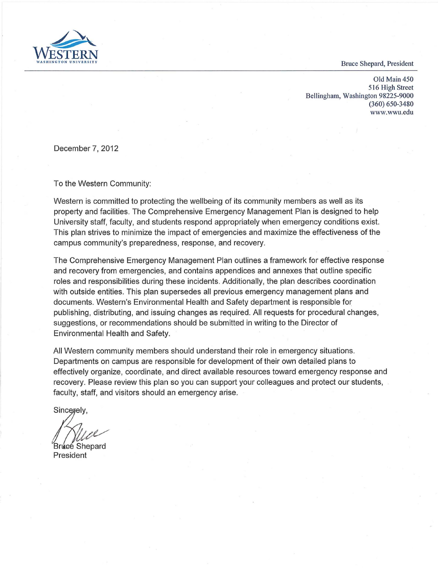**Bruce Shepard, President** 



Old Main 450 516 High Street Bellingham, Washington 98225-9000 (360) 650-3480 <www.wwu.edu>

December 7, 2012

To the Western Community:

Western is committed to protecting the wellbeing of its community members as well as its property and facilities. The Comprehensive Emergency Management Plan is designed to help University staff, faculty, and students respond appropriately when emergency conditions exist. This plan strives to minimize the impact of emergencies and maximize the effectiveness of the campus community's preparedness, response, and recovery.

The Comprehensive Emergency Management Plan outlines a framework for effective response and recovery from emergencies, and contains appendices and annexes that outline specific roles and responsibilities during these incidents. Additionally, the plan describes coordination with outside entities. This plan supersedes all previous emergency management plans and documents. Western's Environmental Health and Safety department is responsible for publishing, distributing, and issuing changes as required. All requests for procedural changes, suggestions, or recommendations should be submitted in writing to the Director of Environmental Health and Safety.

All Western community members should understand their role in emergency situations. Departments on campus are responsible for development of their own detailed plans to effectively organize, coordinate, and direct available resources toward emergency response and recovery. Please review this plan so you can support your colleagues and protect our students, faculty, staff, and visitors should an emergency arise.

Sincerely,

Bruce Shepard President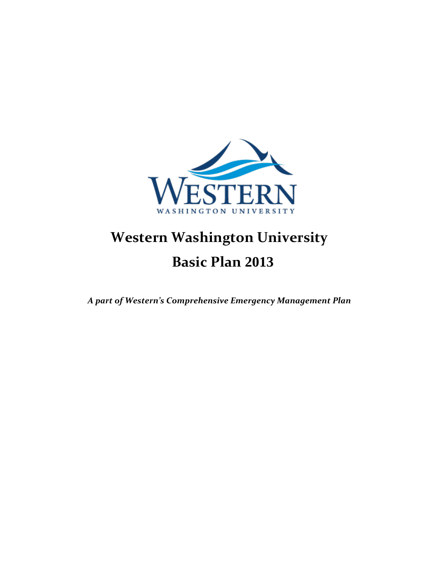

# **Western Washington University Basic Plan 2013**

*A part of Western's Comprehensive Emergency Management Plan*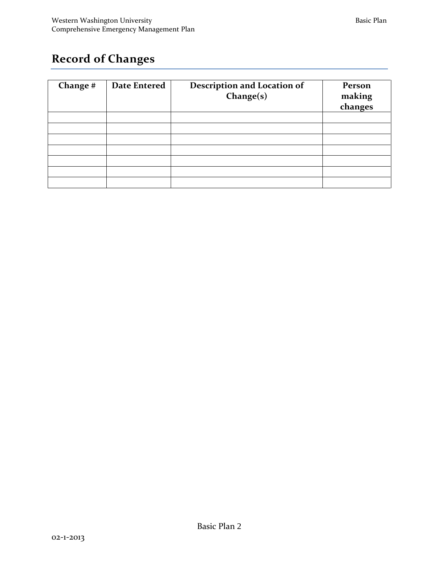# **Record of Changes**

| Change # | <b>Date Entered</b> | <b>Description and Location of</b><br>Change(s) | Person<br>making<br>changes |
|----------|---------------------|-------------------------------------------------|-----------------------------|
|          |                     |                                                 |                             |
|          |                     |                                                 |                             |
|          |                     |                                                 |                             |
|          |                     |                                                 |                             |
|          |                     |                                                 |                             |
|          |                     |                                                 |                             |
|          |                     |                                                 |                             |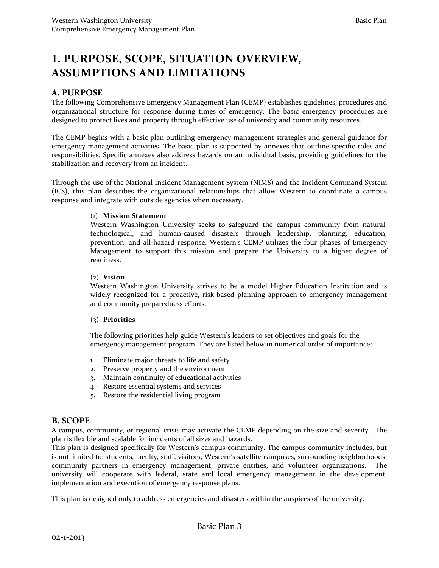#### **A. PURPOSE**

 The following Comprehensive Emergency Management Plan (CEMP) establishes guidelines, procedures and designed to protect lives and property through effective use of university and community resources. organizational structure for response during times of emergency. The basic emergency procedures are

 emergency management activities. The basic plan is supported by annexes that outline specific roles and responsibilities. Specific annexes also address hazards on an individual basis, providing guidelines for the The CEMP begins with a basic plan outlining emergency management strategies and general guidance for stabilization and recovery from an incident.

 Through the use of the National Incident Management System (NIMS) and the Incident Command System (ICS), this plan describes the organizational relationships that allow Western to coordinate a campus response and integrate with outside agencies when necessary.

#### (1) **Mission Statement**

Western Washington University seeks to safeguard the campus community from natural, technological, and human-caused disasters through leadership, planning, education, prevention, and all-hazard response. Western's CEMP utilizes the four phases of Emergency Management to support this mission and prepare the University to a higher degree of readiness.

#### (2) **Vision**

 Western Washington University strives to be a model Higher Education Institution and is widely recognized for a proactive, risk-based planning approach to emergency management and community preparedness efforts.

#### (3) **Priorities**

 The following priorities help guide Western's leaders to set objectives and goals for the emergency management program. They are listed below in numerical order of importance:

- 1. Eliminate major threats to life and safety
- 2. Preserve property and the environment
- 3. Maintain continuity of educational activities
- 4. Restore essential systems and services
- 5. Restore the residential living program

#### **B. SCOPE**

 A campus, community, or regional crisis may activate the CEMP depending on the size and severity. The plan is flexible and scalable for incidents of all sizes and hazards.

 community partners in emergency management, private entities, and volunteer organizations. The This plan is designed specifically for Western's campus community. The campus community includes, but is not limited to: students, faculty, staff, visitors, Western's satellite campuses, surrounding neighborhoods, university will cooperate with federal, state and local emergency management in the development, implementation and execution of emergency response plans.

This plan is designed only to address emergencies and disasters within the auspices of the university.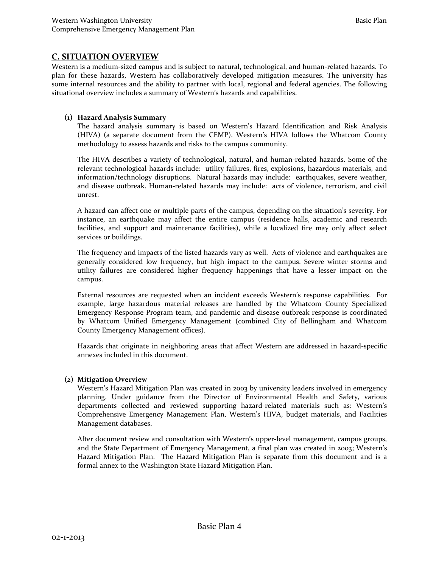#### **C. SITUATION OVERVIEW**

 plan for these hazards, Western has collaboratively developed mitigation measures. The university has some internal resources and the ability to partner with local, regional and federal agencies. The following Western is a medium-sized campus and is subject to natural, technological, and human-related hazards. To situational overview includes a summary of Western's hazards and capabilities.

#### **(1) Hazard Analysis Summary**

 The hazard analysis summary is based on Western's Hazard Identification and Risk Analysis (HIVA) (a separate document from the CEMP). Western's HIVA follows the Whatcom County methodology to assess hazards and risks to the campus community.

 The HIVA describes a variety of technological, natural, and human-related hazards. Some of the information/technology disruptions. Natural hazards may include: earthquakes, severe weather, and disease outbreak. Human-related hazards may include: acts of violence, terrorism, and civil relevant technological hazards include: utility failures, fires, explosions, hazardous materials, and unrest.

A hazard can affect one or multiple parts of the campus, depending on the situation's severity. For instance, an earthquake may affect the entire campus (residence halls, academic and research facilities, and support and maintenance facilities), while a localized fire may only affect select services or buildings.

 The frequency and impacts of the listed hazards vary as well. Acts of violence and earthquakes are generally considered low frequency, but high impact to the campus. Severe winter storms and utility failures are considered higher frequency happenings that have a lesser impact on the campus.

 External resources are requested when an incident exceeds Western's response capabilities. For example, large hazardous material releases are handled by the Whatcom County Specialized Emergency Response Program team, and pandemic and disease outbreak response is coordinated by Whatcom Unified Emergency Management (combined City of Bellingham and Whatcom County Emergency Management offices).

 Hazards that originate in neighboring areas that affect Western are addressed in hazard-specific annexes included in this document.

#### **(2) Mitigation Overview**

Western's Hazard Mitigation Plan was created in 2003 by university leaders involved in emergency planning. Under guidance from the Director of Environmental Health and Safety, various departments collected and reviewed supporting hazard-related materials such as: Western's Comprehensive Emergency Management Plan, Western's HIVA, budget materials, and Facilities Management databases.

 After document review and consultation with Western's upper-level management, campus groups, Hazard Mitigation Plan. The Hazard Mitigation Plan is separate from this document and is a and the State Department of Emergency Management, a final plan was created in 2003; Western's formal annex to the Washington State Hazard Mitigation Plan.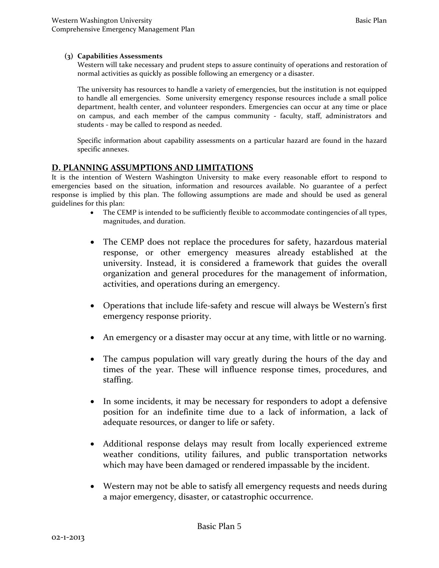#### **(3) Capabilities Assessments**

Western will take necessary and prudent steps to assure continuity of operations and restoration of normal activities as quickly as possible following an emergency or a disaster.

 to handle all emergencies. Some university emergency response resources include a small police department, health center, and volunteer responders. Emergencies can occur at any time or place students - may be called to respond as needed. The university has resources to handle a variety of emergencies, but the institution is not equipped on campus, and each member of the campus community - faculty, staff, administrators and

students - may be called to respond as needed.<br>Specific information about capability assessments on a particular hazard are found in the hazard specific annexes.

#### **D. PLANNING ASSUMPTIONS AND LIMITATIONS**

It is the intention of Western Washington University to make every reasonable effort to respond to emergencies based on the situation, information and resources available. No guarantee of a perfect response is implied by this plan. The following assumptions are made and should be used as general guidelines for this plan:

- The CEMP is intended to be sufficiently flexible to accommodate contingencies of all types, magnitudes, and duration.
- university. Instead, it is considered a framework that guides the overall • The CEMP does not replace the procedures for safety, hazardous material response, or other emergency measures already established at the organization and general procedures for the management of information, activities, and operations during an emergency.
- Operations that include life-safety and rescue will always be Western's first emergency response priority.
- An emergency or a disaster may occur at any time, with little or no warning.
- • The campus population will vary greatly during the hours of the day and staffing. times of the year. These will influence response times, procedures, and
- In some incidents, it may be necessary for responders to adopt a defensive position for an indefinite time due to a lack of information, a lack of adequate resources, or danger to life or safety.
- Additional response delays may result from locally experienced extreme weather conditions, utility failures, and public transportation networks which may have been damaged or rendered impassable by the incident.
- Western may not be able to satisfy all emergency requests and needs during a major emergency, disaster, or catastrophic occurrence.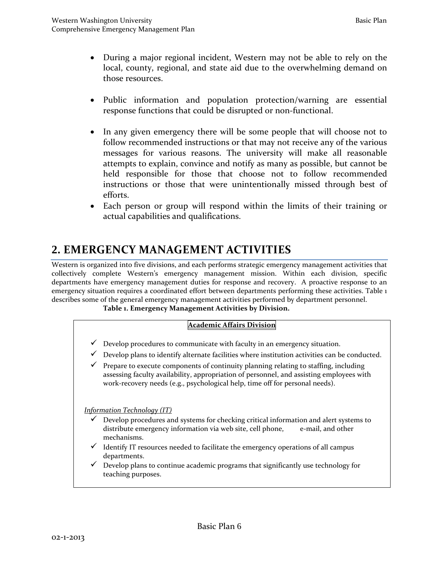- those resources. • During a major regional incident, Western may not be able to rely on the local, county, regional, and state aid due to the overwhelming demand on
- response functions that could be disrupted or non-functional. • Public information and population protection/warning are essential
- • In any given emergency there will be some people that will choose not to follow recommended instructions or that may not receive any of the various messages for various reasons. The university will make all reasonable attempts to explain, convince and notify as many as possible, but cannot be held responsible for those that choose not to follow recommended instructions or those that were unintentionally missed through best of efforts.
- Each person or group will respond within the limits of their training or actual capabilities and qualifications.

# **2. EMERGENCY MANAGEMENT ACTIVITIES**

 Western is organized into five divisions, and each performs strategic emergency management activities that collectively complete Western's emergency management mission. Within each division, specific departments have emergency management duties for response and recovery. A proactive response to an emergency situation requires a coordinated effort between departments performing these activities. Table 1 describes some of the general emergency management activities performed by department personnel.

# Table 1. Emergency Management Activities by Division.<br>**Academic Affairs Division**

- $\checkmark$  Develop procedures to communicate with faculty in an emergency situation.
- $\checkmark$  Develop plans to identify alternate facilities where institution activities can be conducted.
- $\checkmark$  Prepare to execute components of continuity planning relating to staffing, including work-recovery needs (e.g., psychological help, time off for personal needs). assessing faculty availability, appropriation of personnel, and assisting employees with

*Information Technology (IT)* 

- distribute emergency information via web site, cell phone, e-mail, and other  $\checkmark$  Develop procedures and systems for checking critical information and alert systems to mechanisms.
- $\checkmark$  Identify IT resources needed to facilitate the emergency operations of all campus departments.
- $\checkmark$  Develop plans to continue academic programs that significantly use technology for teaching purposes.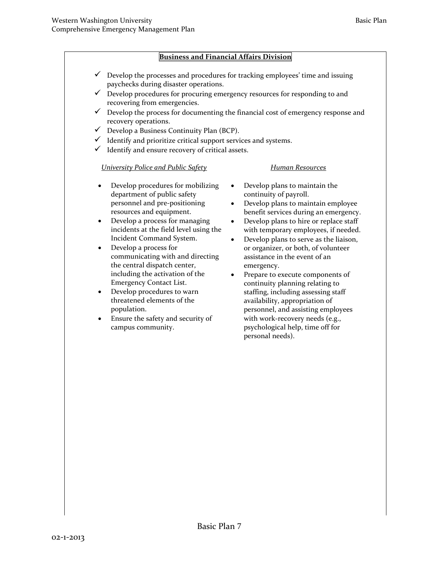#### **Business and Financial Affairs Division**

- $\checkmark$  Develop the processes and procedures for tracking employees' time and issuing paychecks during disaster operations.
- $\checkmark$  Develop procedures for procuring emergency resources for responding to and recovering from emergencies.
- $\checkmark$  Develop the process for documenting the financial cost of emergency response and recovery operations.
- $\checkmark$  Develop a Business Continuity Plan (BCP).
- $\checkmark$  Identify and prioritize critical support services and systems.
- $\checkmark$  Identify and ensure recovery of critical assets.

#### *University Police and Public Safety* **Human Resources**

- Develop procedures for mobilizing Develop plans to maintain the department of public safety continuity of payroll. personnel and pre-positioning • Develop plans to maintain employee
- Develop a process for managing Develop plans to hire or replace staff
- communicating with and directing assistance in the event of an the central dispatch center, emergency.
- population.
- Ensure the safety and security of
- 
- resources and equipment. benefit services during an emergency.
- incidents at the field level using the with temporary employees, if needed.
- Incident Command System. Develop plans to serve as the liaison, **Develop a process for or or organizer**, or both, of volunteer
- with work-recovery needs (e.g., campus community. psychological help, time off for including the activation of the • Prepare to execute components of Emergency Contact List. **Example 2** continuity planning relating to • Develop procedures to warn staffing, including assessing staff threatened elements of the availability, appropriation of availability, appropriation of personnel, and assisting employees personal needs).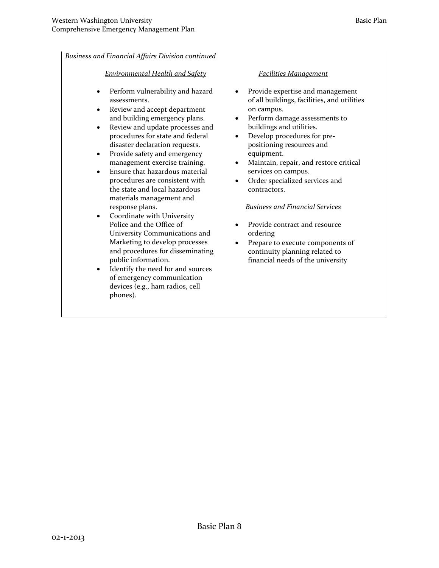*Business and Financial Affairs Division continued* 

#### *Environmental Health and Safety*

- Perform vulnerability and hazard assessments.
- and building emergency plans. • Review and accept department
- Review and update processes and procedures for state and federal disaster declaration requests.
- Provide safety and emergency management exercise training.
- Ensure that hazardous material procedures are consistent with the state and local hazardous materials management and response plans.
- Coordinate with University Police and the Office of University Communications and Marketing to develop processes and procedures for disseminating public information.
- Identify the need for and sources of emergency communication devices (e.g., ham radios, cell phones).

#### *Facilities Management*

- on campus. • Provide expertise and management of all buildings, facilities, and utilities
- buildings and utilities. • Perform damage assessments to
- Develop procedures for prepositioning resources and equipment.
- services on campus. • Maintain, repair, and restore critical
- contractors. Order specialized services and

#### *Business and Financial Services*

- Provide contract and resource ordering
- continuity planning related to Prepare to execute components of financial needs of the university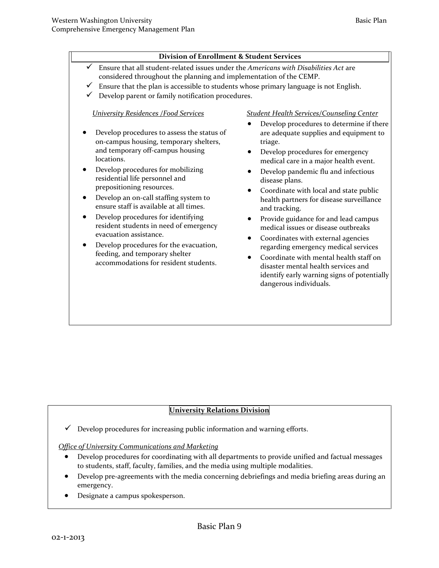## **Division of Enrollment & Student Services**

- considered throughout the planning and implementation of the CEMP. Ensure that all student-related issues under the *Americans with Disabilities Act* are
- Ensure that the plan is accessible to students whose primary language is not English.
- Develop parent or family notification procedures.

#### *University Residences /Food Services Student Health Services/Counseling Center*

- on-campus housing, temporary shelters, triage.<br>
and temporary off-campus housing Develop procedures for emergency locations.<br>
medical care in a major health even
- Develop procedures for mobilizing Develop pandemic flu and infectious residential life personnel and disease plans. prepositioning resources. Coordinate with local and state public Develop an on-call staffing system to health partners for disease surveillance
- ensure staff is available at all times. and tracking.
- Pevelop procedures for identifying Provide guidance for and lead campus resident students in need of emergency medical issues or disease outbreaks evacuation assistance.
- Coordinates with external agencies<br>
 Coordinates with external agencies<br>
 Coordinates with external agencies<br>
regarding emergency medical services<br>
feeding, and temporary shelter<br>
 Coordinate with mental health staff
- triage. • Develop procedures to determine if there • Develop procedures to assess the status of are adequate supplies and equipment to
	- medical care in a major health event.
	-
	-
	-
	-
	- identify early warning signs of potentially dangerous individuals.

#### **University Relations Division**

 $\checkmark$  Develop procedures for increasing public information and warning efforts.

#### *Office of University Communications and Marketing*

- Develop procedures for coordinating with all departments to provide unified and factual messages to students, staff, faculty, families, and the media using multiple modalities.
- emergency. • Develop pre-agreements with the media concerning debriefings and media briefing areas during an
- Designate a campus spokesperson.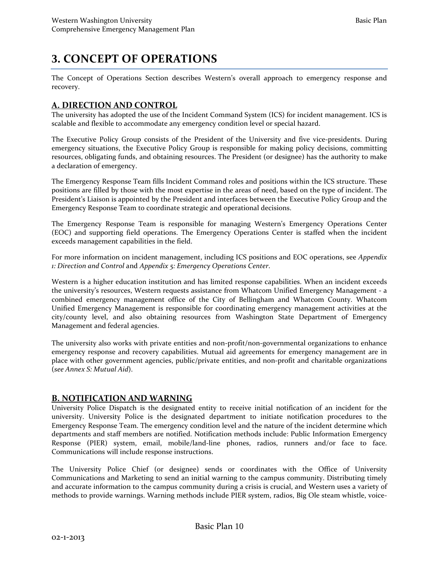# **3. CONCEPT OF OPERATIONS**

The Concept of Operations Section describes Western's overall approach to emergency response and recovery.

### **A. DIRECTION AND CONTROL**

 The university has adopted the use of the Incident Command System (ICS) for incident management. ICS is scalable and flexible to accommodate any emergency condition level or special hazard.

 emergency situations, the Executive Policy Group is responsible for making policy decisions, committing resources, obligating funds, and obtaining resources. The President (or designee) has the authority to make The Executive Policy Group consists of the President of the University and five vice-presidents. During a declaration of emergency.

 President's Liaison is appointed by the President and interfaces between the Executive Policy Group and the The Emergency Response Team fills Incident Command roles and positions within the ICS structure. These positions are filled by those with the most expertise in the areas of need, based on the type of incident. The Emergency Response Team to coordinate strategic and operational decisions.

The Emergency Response Team is responsible for managing Western's Emergency Operations Center (EOC) and supporting field operations. The Emergency Operations Center is staffed when the incident exceeds management capabilities in the field.

For more information on incident management, including ICS positions and EOC operations, see *Appendix 1: Direction and Control* and *Appendix 5: Emergency Operations Center*.

 Unified Emergency Management is responsible for coordinating emergency management activities at the Western is a higher education institution and has limited response capabilities. When an incident exceeds the university's resources, Western requests assistance from Whatcom Unified Emergency Management - a combined emergency management office of the City of Bellingham and Whatcom County. Whatcom city/county level, and also obtaining resources from Washington State Department of Emergency Management and federal agencies.

 emergency response and recovery capabilities. Mutual aid agreements for emergency management are in The university also works with private entities and non-profit/non-governmental organizations to enhance place with other government agencies, public/private entities, and non-profit and charitable organizations (*see Annex S: Mutual Aid*).

#### **B. NOTIFICATION AND WARNING**

 university. University Police is the designated department to initiate notification procedures to the Emergency Response Team. The emergency condition level and the nature of the incident determine which Response (PIER) system, email, mobile/land-line phones, radios, runners and/or face to face. Communications will include response instructions. University Police Dispatch is the designated entity to receive initial notification of an incident for the departments and staff members are notified. Notification methods include: Public Information Emergency

 Communications will include response instructions. The University Police Chief (or designee) sends or coordinates with the Office of University Communications and Marketing to send an initial warning to the campus community. Distributing timely and accurate information to the campus community during a crisis is crucial, and Western uses a variety of methods to provide warnings. Warning methods include PIER system, radios, Big Ole steam whistle, voice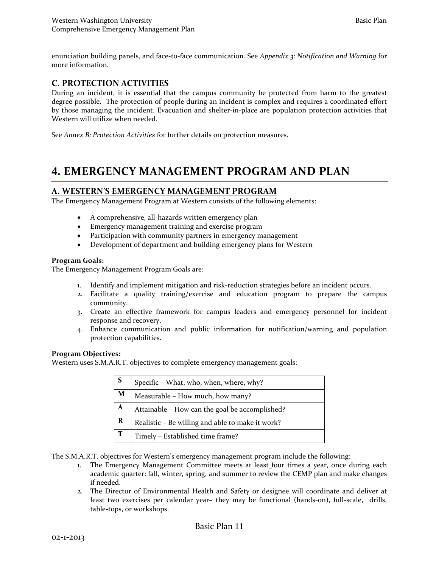enunciation building panels, and face-to-face communication. See *Appendix 3: Notification and Warning* for more information.

#### **C. PROTECTION ACTIVITIES**

 degree possible. The protection of people during an incident is complex and requires a coordinated effort by those managing the incident. Evacuation and shelter-in-place are population protection activities that During an incident, it is essential that the campus community be protected from harm to the greatest Western will utilize when needed.

See *Annex B: Protection Activities* for further details on protection measures.

## **4. EMERGENCY MANAGEMENT PROGRAM AND PLAN**

#### **A. WESTERN'S EMERGENCY MANAGEMENT PROGRAM**

The Emergency Management Program at Western consists of the following elements:

- A comprehensive, all-hazards written emergency plan
- Emergency management training and exercise program
- Participation with community partners in emergency management
- Development of department and building emergency plans for Western

#### **Program Goals:**

The Emergency Management Program Goals are:

- 1. Identify and implement mitigation and risk-reduction strategies before an incident occurs.
- community. 2. Facilitate a quality training/exercise and education program to prepare the campus
- 3. Create an effective framework for campus leaders and emergency personnel for incident response and recovery.
- 4. Enhance communication and public information for notification/warning and population protection capabilities.

#### **Program Objectives:**

Western uses S.M.A.R.T. objectives to complete emergency management goals:

| ΙS | Specific - What, who, when, where, why?          |
|----|--------------------------------------------------|
| M  | Measurable - How much, how many?                 |
| A  | Attainable - How can the goal be accomplished?   |
| R  | Realistic - Be willing and able to make it work? |
| T  | Timely - Established time frame?                 |

The S.M.A.R.T. objectives for Western's emergency management program include the following:

- academic quarter: fall, winter, spring, and summer to review the CEMP plan and make changes 1. The Emergency Management Committee meets at least\_four times a year, once during each if needed.
- 2. The Director of Environmental Health and Safety or designee will coordinate and deliver at least two exercises per calendar year– they may be functional (hands-on), full-scale, drills, table-tops, or workshops.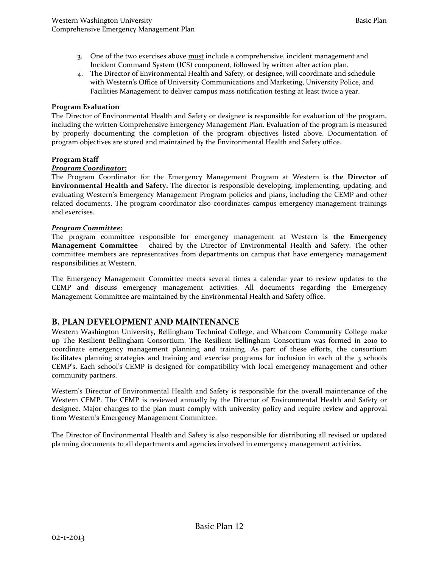- Incident Command System (ICS) component, followed by written after action plan. 3. One of the two exercises above must include a comprehensive, incident management and
- 4. The Director of Environmental Health and Safety, or designee, will coordinate and schedule with Western's Office of University Communications and Marketing, University Police, and Facilities Management to deliver campus mass notification testing at least twice a year.

#### **Program Evaluation**

 including the written Comprehensive Emergency Management Plan. Evaluation of the program is measured by properly documenting the completion of the program objectives listed above. Documentation of The Director of Environmental Health and Safety or designee is responsible for evaluation of the program, program objectives are stored and maintained by the Environmental Health and Safety office.

#### **Program Staff**

#### *Program Coordinator:*

 related documents. The program coordinator also coordinates campus emergency management trainings The Program Coordinator for the Emergency Management Program at Western is **the Director of Environmental Health and Safety.** The director is responsible developing, implementing, updating, and evaluating Western's Emergency Management Program policies and plans, including the CEMP and other and exercises.

#### *Program Committee:*

 **Management Committee** – chaired by the Director of Environmental Health and Safety. The other committee members are representatives from departments on campus that have emergency management The program committee responsible for emergency management at Western is **the Emergency**  responsibilities at Western.

 The Emergency Management Committee meets several times a calendar year to review updates to the CEMP and discuss emergency management activities. All documents regarding the Emergency Management Committee are maintained by the Environmental Health and Safety office.

#### **B. PLAN DEVELOPMENT AND MAINTENANCE**

 Western Washington University, Bellingham Technical College, and Whatcom Community College make CEMP's. Each school's CEMP is designed for compatibility with local emergency management and other up The Resilient Bellingham Consortium. The Resilient Bellingham Consortium was formed in 2010 to coordinate emergency management planning and training. As part of these efforts, the consortium facilitates planning strategies and training and exercise programs for inclusion in each of the 3 schools community partners.

 Western's Director of Environmental Health and Safety is responsible for the overall maintenance of the Western CEMP. The CEMP is reviewed annually by the Director of Environmental Health and Safety or designee. Major changes to the plan must comply with university policy and require review and approval from Western's Emergency Management Committee.

The Director of Environmental Health and Safety is also responsible for distributing all revised or updated planning documents to all departments and agencies involved in emergency management activities.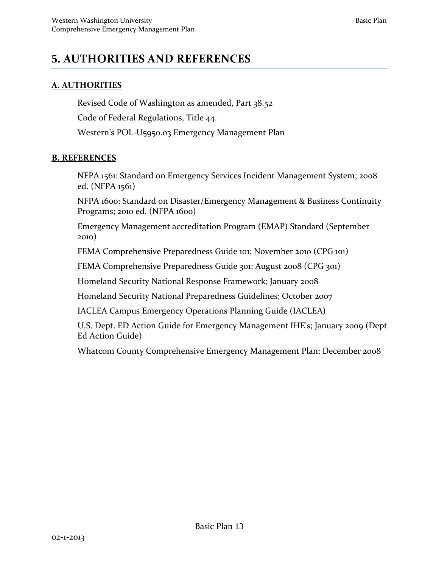# **5. AUTHORITIES AND REFERENCES**

### **A. AUTHORITIES**

 Western's [POL-U5950.03](https://POL-U5950.03) Emergency Management Plan Revised Code of Washington as amended, Part 38.52 Code of Federal Regulations, Title 44.

#### **B. REFERENCES**

NFPA 1561: Standard on Emergency Services Incident Management System; 2008 ed. (NFPA 1561)

NFPA 1600: Standard on Disaster/Emergency Management & Business Continuity Programs; 2010 ed. (NFPA 1600)

Emergency Management accreditation Program (EMAP) Standard (September 2010)

FEMA Comprehensive Preparedness Guide 101; November 2010 (CPG 101)

FEMA Comprehensive Preparedness Guide 301; August 2008 (CPG 301)

Homeland Security National Response Framework; January 2008

Homeland Security National Preparedness Guidelines; October 2007

IACLEA Campus Emergency Operations Planning Guide (IACLEA)

U.S. Dept. ED Action Guide for Emergency Management IHE's; January 2009 (Dept Ed Action Guide)

Whatcom County Comprehensive Emergency Management Plan; December 2008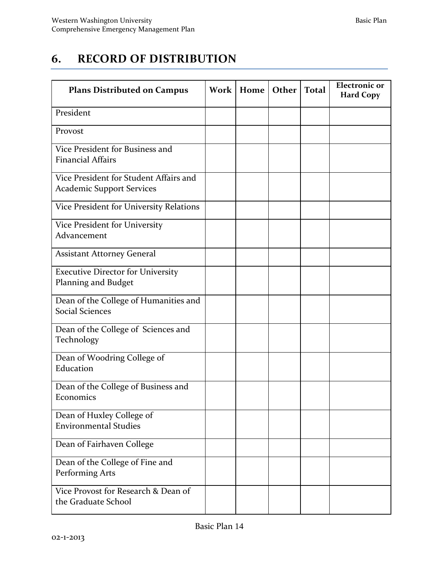# **6. RECORD OF DISTRIBUTION**

| <b>Plans Distributed on Campus</b>                                         | <b>Work</b> | Home | Other | <b>Total</b> | <b>Electronic</b> or<br><b>Hard Copy</b> |
|----------------------------------------------------------------------------|-------------|------|-------|--------------|------------------------------------------|
| President                                                                  |             |      |       |              |                                          |
| Provost                                                                    |             |      |       |              |                                          |
| Vice President for Business and<br><b>Financial Affairs</b>                |             |      |       |              |                                          |
| Vice President for Student Affairs and<br><b>Academic Support Services</b> |             |      |       |              |                                          |
| Vice President for University Relations                                    |             |      |       |              |                                          |
| Vice President for University<br>Advancement                               |             |      |       |              |                                          |
| <b>Assistant Attorney General</b>                                          |             |      |       |              |                                          |
| <b>Executive Director for University</b><br>Planning and Budget            |             |      |       |              |                                          |
| Dean of the College of Humanities and<br><b>Social Sciences</b>            |             |      |       |              |                                          |
| Dean of the College of Sciences and<br>Technology                          |             |      |       |              |                                          |
| Dean of Woodring College of<br>Education                                   |             |      |       |              |                                          |
| Dean of the College of Business and<br>Economics                           |             |      |       |              |                                          |
| Dean of Huxley College of<br><b>Environmental Studies</b>                  |             |      |       |              |                                          |
| Dean of Fairhaven College                                                  |             |      |       |              |                                          |
| Dean of the College of Fine and<br>Performing Arts                         |             |      |       |              |                                          |
| Vice Provost for Research & Dean of<br>the Graduate School                 |             |      |       |              |                                          |